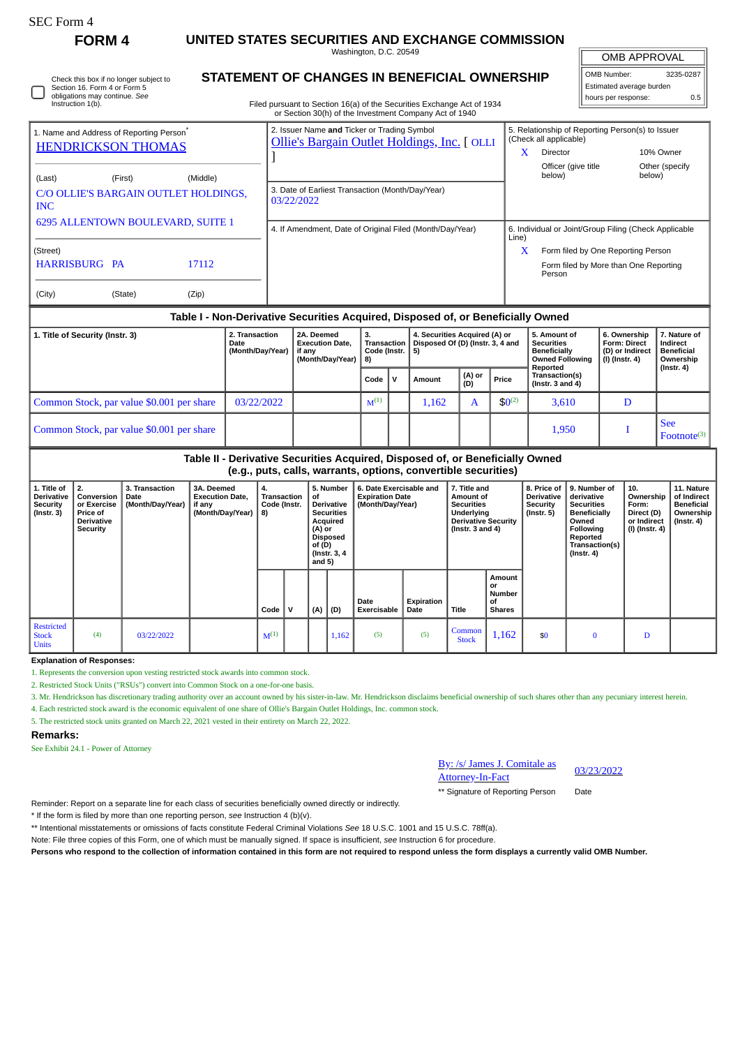# **FORM 4 UNITED STATES SECURITIES AND EXCHANGE COMMISSION**

Washington, D.C. 20549

Check this box if no longer subject to Section 16. Form 4 or Form 5 obligations may continue. *See* Instruction 1(b).

## **STATEMENT OF CHANGES IN BENEFICIAL OWNERSHIP**

Filed pursuant to Section 16(a) of the Securities Exchange Act of 1934 or Section 30(h) of the Investment Company Act of 1940

| OMB APPROVAL             |           |  |  |  |  |  |  |  |  |  |  |
|--------------------------|-----------|--|--|--|--|--|--|--|--|--|--|
| OMB Number:              | 3235-0287 |  |  |  |  |  |  |  |  |  |  |
| Estimated average burden |           |  |  |  |  |  |  |  |  |  |  |
| hours per response:      | 0 5       |  |  |  |  |  |  |  |  |  |  |

| 1. Name and Address of Reporting Person <sup>®</sup> |         |          | 2. Issuer Name and Ticker or Trading Symbol<br>Ollie's Bargain Outlet Holdings, Inc. [ OLLI | 5. Relationship of Reporting Person(s) to Issuer<br>(Check all applicable) |                                                       |                          |  |  |  |
|------------------------------------------------------|---------|----------|---------------------------------------------------------------------------------------------|----------------------------------------------------------------------------|-------------------------------------------------------|--------------------------|--|--|--|
| <b>HENDRICKSON THOMAS</b>                            |         |          |                                                                                             | x                                                                          | Director                                              | 10% Owner                |  |  |  |
| (Last)                                               | (First) | (Middle) |                                                                                             |                                                                            | Officer (give title<br>below)                         | Other (specify<br>below) |  |  |  |
| C/O OLLIE'S BARGAIN OUTLET HOLDINGS,<br><b>INC</b>   |         |          | 3. Date of Earliest Transaction (Month/Day/Year)<br>03/22/2022                              |                                                                            |                                                       |                          |  |  |  |
| 6295 ALLENTOWN BOULEVARD, SUITE 1                    |         |          | 4. If Amendment, Date of Original Filed (Month/Day/Year)                                    | Line)                                                                      | 6. Individual or Joint/Group Filing (Check Applicable |                          |  |  |  |
| (Street)                                             |         |          |                                                                                             | X                                                                          | Form filed by One Reporting Person                    |                          |  |  |  |
| HARRISBURG PA                                        |         | 17112    |                                                                                             |                                                                            | Form filed by More than One Reporting<br>Person       |                          |  |  |  |
| (City)                                               | (State) | (Zip)    |                                                                                             |                                                                            |                                                       |                          |  |  |  |

#### **Table I - Non-Derivative Securities Acquired, Disposed of, or Beneficially Owned**

| 1. Title of Security (Instr. 3)           | 2. Transaction<br>Date<br>(Month/Day/Year) | 2A. Deemed<br>3.<br>Transaction<br><b>Execution Date.</b><br>Code (Instr. $\vert 5$ )<br>if any<br>(Month/Day/Year)<br>8) |           |              | 4. Securities Acquired (A) or<br>Disposed Of (D) (Instr. 3, 4 and |               |            | 5. Amount of<br><b>Securities</b><br>Beneficially<br><b>Owned Following</b><br>Reported | 6. Ownership<br><b>Form: Direct</b><br>(D) or Indirect<br>(I) (Instr. 4) | 7. Nature of<br>Indirect<br><b>Beneficial</b><br>Ownership |
|-------------------------------------------|--------------------------------------------|---------------------------------------------------------------------------------------------------------------------------|-----------|--------------|-------------------------------------------------------------------|---------------|------------|-----------------------------------------------------------------------------------------|--------------------------------------------------------------------------|------------------------------------------------------------|
|                                           |                                            |                                                                                                                           | Code      | $\mathbf{v}$ | Amount                                                            | (A) or<br>(D) | Price      | Transaction(s)<br>(Instr. $3$ and $4$ )                                                 |                                                                          | (Instr. 4)                                                 |
| Common Stock, par value \$0.001 per share | 03/22/2022                                 |                                                                                                                           | $M^{(1)}$ |              | 1.162                                                             | A             | $$0^{(2)}$ | 3,610                                                                                   | D                                                                        |                                                            |
| Common Stock, par value \$0.001 per share |                                            |                                                                                                                           |           |              |                                                                   |               |            | 1,950                                                                                   |                                                                          | <b>See</b><br>$Fotnote^{(3)}$                              |

**Table II - Derivative Securities Acquired, Disposed of, or Beneficially Owned**

**(e.g., puts, calls, warrants, options, convertible securities)**

| 1. Title of<br><b>Derivative</b><br>Security<br>$($ Instr. 3 $)$ | 2.<br>Conversion<br>or Exercise<br>Price of<br>Derivative<br>Security | 3. Transaction<br>Date<br>(Month/Day/Year) | 3A. Deemed<br><b>Execution Date,</b><br>if any<br>(Month/Day/Year)   8) | 4.<br>Transaction<br>Code (Instr. |   | 5. Number<br>6. Date Exercisable and<br>of<br><b>Expiration Date</b><br>Derivative<br>(Month/Day/Year)<br><b>Securities</b><br>Acquired<br>(A) or<br><b>Disposed</b><br>of (D)<br>(Instr. 3, 4)<br>and $5)$ |       |                            | 7. Title and<br>Amount of<br><b>Securities</b><br>Underlying<br><b>Derivative Security</b><br>(Instr. $3$ and $4$ ) |                        | 8. Price of<br><b>Derivative</b><br><b>Security</b><br>$($ lnstr. 5 $)$ | 9. Number of<br>derivative<br><b>Securities</b><br>Beneficially<br>Owned<br><b>Following</b><br>Reported<br>Transaction(s)<br>$($ Instr. 4 $)$ | 10.<br>Ownership<br>Form:<br>Direct (D)<br>or Indirect<br>(I) (Instr. 4) | 11. Nature<br>of Indirect<br><b>Beneficial</b><br>Ownership<br>(Instr. 4) |  |
|------------------------------------------------------------------|-----------------------------------------------------------------------|--------------------------------------------|-------------------------------------------------------------------------|-----------------------------------|---|-------------------------------------------------------------------------------------------------------------------------------------------------------------------------------------------------------------|-------|----------------------------|---------------------------------------------------------------------------------------------------------------------|------------------------|-------------------------------------------------------------------------|------------------------------------------------------------------------------------------------------------------------------------------------|--------------------------------------------------------------------------|---------------------------------------------------------------------------|--|
|                                                                  |                                                                       |                                            |                                                                         | Code                              | v | (A)                                                                                                                                                                                                         | (D)   | Date<br><b>Exercisable</b> | Expiration<br>Date                                                                                                  | Title                  | Amount<br>or<br>Number<br>οf<br><b>Shares</b>                           |                                                                                                                                                |                                                                          |                                                                           |  |
| Restricted<br><b>Stock</b><br><b>Units</b>                       | (4)                                                                   | 03/22/2022                                 |                                                                         | $M^{(1)}$                         |   |                                                                                                                                                                                                             | 1,162 | (5)                        | (5)                                                                                                                 | Common<br><b>Stock</b> | 1,162                                                                   | \$0                                                                                                                                            | $\bf{0}$                                                                 | D                                                                         |  |

**Explanation of Responses:**

1. Represents the conversion upon vesting restricted stock awards into common stock.

2. Restricted Stock Units ("RSUs") convert into Common Stock on a one-for-one basis.

3. Mr. Hendrickson has discretionary trading authority over an account owned by his sister-in-law. Mr. Hendrickson disclaims beneficial ownership of such shares other than any pecuniary interest herein.

4. Each restricted stock award is the economic equivalent of one share of Ollie's Bargain Outlet Holdings, Inc. common stock.

5. The restricted stock units granted on March 22, 2021 vested in their entirety on March 22, 2022.

#### **Remarks:**

See Exhibit 24.1 - Power of Attorney

By: /s/ James J. Comitale as <u>By: /s/ James J. Comitale as<br>Attorney-In-Fact</u> 03/23/2022

\*\* Signature of Reporting Person Date

Reminder: Report on a separate line for each class of securities beneficially owned directly or indirectly.

\* If the form is filed by more than one reporting person, *see* Instruction 4 (b)(v).

\*\* Intentional misstatements or omissions of facts constitute Federal Criminal Violations *See* 18 U.S.C. 1001 and 15 U.S.C. 78ff(a).

Note: File three copies of this Form, one of which must be manually signed. If space is insufficient, *see* Instruction 6 for procedure.

**Persons who respond to the collection of information contained in this form are not required to respond unless the form displays a currently valid OMB Number.**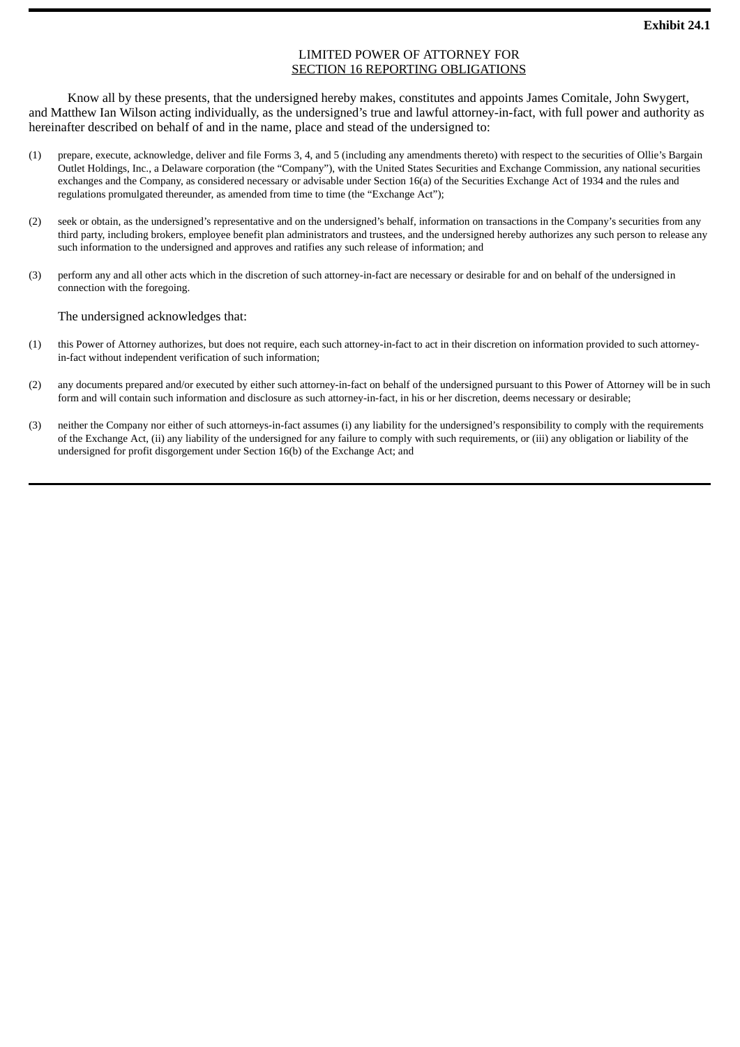### LIMITED POWER OF ATTORNEY FOR SECTION 16 REPORTING OBLIGATIONS

Know all by these presents, that the undersigned hereby makes, constitutes and appoints James Comitale, John Swygert, and Matthew Ian Wilson acting individually, as the undersigned's true and lawful attorney-in-fact, with full power and authority as hereinafter described on behalf of and in the name, place and stead of the undersigned to:

- (1) prepare, execute, acknowledge, deliver and file Forms 3, 4, and 5 (including any amendments thereto) with respect to the securities of Ollie's Bargain Outlet Holdings, Inc., a Delaware corporation (the "Company"), with the United States Securities and Exchange Commission, any national securities exchanges and the Company, as considered necessary or advisable under Section 16(a) of the Securities Exchange Act of 1934 and the rules and regulations promulgated thereunder, as amended from time to time (the "Exchange Act");
- (2) seek or obtain, as the undersigned's representative and on the undersigned's behalf, information on transactions in the Company's securities from any third party, including brokers, employee benefit plan administrators and trustees, and the undersigned hereby authorizes any such person to release any such information to the undersigned and approves and ratifies any such release of information; and
- (3) perform any and all other acts which in the discretion of such attorney-in-fact are necessary or desirable for and on behalf of the undersigned in connection with the foregoing.

The undersigned acknowledges that:

- (1) this Power of Attorney authorizes, but does not require, each such attorney-in-fact to act in their discretion on information provided to such attorneyin-fact without independent verification of such information;
- (2) any documents prepared and/or executed by either such attorney-in-fact on behalf of the undersigned pursuant to this Power of Attorney will be in such form and will contain such information and disclosure as such attorney-in-fact, in his or her discretion, deems necessary or desirable;
- (3) neither the Company nor either of such attorneys-in-fact assumes (i) any liability for the undersigned's responsibility to comply with the requirements of the Exchange Act, (ii) any liability of the undersigned for any failure to comply with such requirements, or (iii) any obligation or liability of the undersigned for profit disgorgement under Section 16(b) of the Exchange Act; and